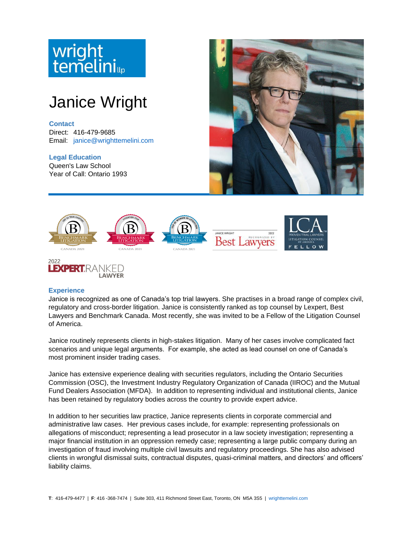



## **Experience**

Janice is recognized as one of Canada's top trial lawyers. She practises in a broad range of complex civil, regulatory and cross-border litigation. Janice is consistently ranked as top counsel by Lexpert, Best Lawyers and Benchmark Canada. Most recently, she was invited to be a Fellow of the Litigation Counsel of America.

Janice routinely represents clients in high-stakes litigation. Many of her cases involve complicated fact scenarios and unique legal arguments. For example, she acted as lead counsel on one of Canada's most prominent insider trading cases.

Janice has extensive experience dealing with securities regulators, including the Ontario Securities Commission (OSC), the Investment Industry Regulatory Organization of Canada (IIROC) and the Mutual Fund Dealers Association (MFDA). In addition to representing individual and institutional clients, Janice has been retained by regulatory bodies across the country to provide expert advice.

In addition to her securities law practice, Janice represents clients in corporate commercial and administrative law cases. Her previous cases include, for example: representing professionals on allegations of misconduct; representing a lead prosecutor in a law society investigation; representing a major financial institution in an oppression remedy case; representing a large public company during an investigation of fraud involving multiple civil lawsuits and regulatory proceedings. She has also advised clients in wrongful dismissal suits, contractual disputes, quasi-criminal matters, and directors' and officers' liability claims.